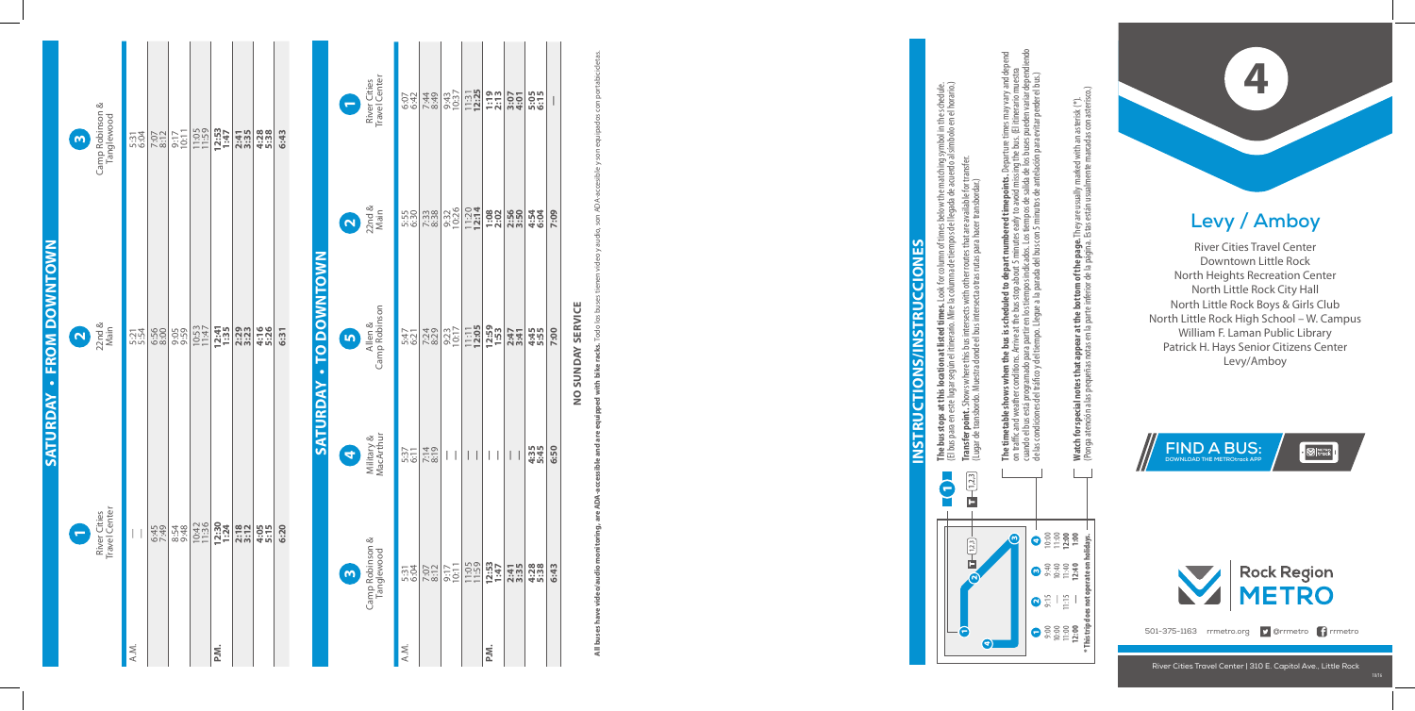## **Levy / Amboy**

River Cities Travel Center Downtown Little Rock North Heights Recreation Center North Little Rock City Hall North Little Rock Boys & Girls Club North Little Rock High School – W. Campus William F. Laman Public Library Patrick H. Hays Senior Citizens Center **V** / **Am**<br>Cities Travel C<br>ntown Little<br>ghts Recreati<br>Little Rock Ci<br>explose Sck High Scho<br>Laman Publys Senior Cit<br>Levy/Amboy

**Saturday • From Downtown**

**SATURDAY - FROM DOWNTOWN** 





501-375-1163 rrmetro.org **9** @rrmetro **f** rrmetro

| Camp Robinson &<br>Tanglewood<br>$\bullet$ | 5:31<br>6:04 | 7:07<br>8:12 | 9:17<br>10:11                                                                                                                                                            | 11:05          | $12:53$<br>$1:47$         | 2:41<br>3:35     | $4:28$<br>5:38                 | 6:43 |                        |  |
|--------------------------------------------|--------------|--------------|--------------------------------------------------------------------------------------------------------------------------------------------------------------------------|----------------|---------------------------|------------------|--------------------------------|------|------------------------|--|
| $22nd &$<br>Main<br>$\mathbf Q$            | 5:21<br>5:54 | 6:56<br>8:00 | 9:59                                                                                                                                                                     | 10:53<br>11:47 | 12:41<br>1:35             | 2:29<br>3:23     | 4:16<br>5:26                   | 6:31 | SATURDAY - TO DOWNTOWN |  |
| River Cities<br>Travel Center<br>۵         | A.M.         |              | $\begin{array}{c c c c} \hline \psi & \hat{\omega} & \hat{\omega} \\ \hline \psi & \hat{\omega} & \hat{\omega} \\ \hline \psi & \hat{\omega} & \hat{\omega} \end{array}$ | 10:42<br>11:36 | $12:30$<br>$1:24$<br>P.M. | $2:18$<br>$3:12$ | <b>In</b> In<br>$rac{0}{4}$ :1 | 6:20 |                        |  |

**The bus stops at this location at listed times.** Look for column of times below the matching symbol in the schedule.<br>(El bus para en este lugar según el itinerario. Mire la columna de tiempos de llegada de acuerdo al símb (El bus para en este lugar según el itinerario. Mire la columna de tiempos de llegada de acuerdo al símbolo en el horario.) **Transfer point.** Shows where this bus intersects with other routes that are available for transfer. (Lugar de transbordo. Muestra donde el bus intersecta otras rutas para hacer transbordar.)

cuando el bus está programado para partir en los tiempos indicados. Los tiempos de salida de los buses pueden variar dependiendo **The timetable shows when the bus is scheduled to depart numbered timepoints.** Departure times may vary and depend on traffic and weather conditions. Arrive at the bus stop about 5 minutes early to avoid missing the bus. (El itinerario muestra de las condiciones del tráco y del tiempo. Llegue a la parada del bus con 5 minutos de antelación para evitar perder el bus.) ்த **mepoints. I**<br>bavoid missi<br>s de salida d<br>ttos de antel ered<sub>1</sub>  $\frac{\text{Los}}{\text{con5}}$ **The timetable shows when the bus is scheduled to depart num**<br>on trafic and weather conditions. Arrive at the bus stop about 5 minut<br>cuando el bus está programado para partir en los tiempos indicados. L<br>de las condiciones

| River Cities<br>Travel Center<br>D         |      | e el x el<br>04 440<br>04 49 |                 | $\frac{9:43}{10:37}$<br>$\frac{131}{12:25}$ | $\frac{1:19}{2:13}$                                                               | 3:07                                                 | 5:05<br>6:15 | $\bigg $ |
|--------------------------------------------|------|------------------------------|-----------------|---------------------------------------------|-----------------------------------------------------------------------------------|------------------------------------------------------|--------------|----------|
| $\frac{2}{\text{Nain}}$                    |      |                              | 9:32<br>10:26   |                                             | $\begin{array}{c c}\n 11.20 \\ 12.14 \\ 1.08 \\ 2.55 \\ 3.55 \\ 5.5\n\end{array}$ |                                                      | 4:54<br>6:04 | 7:09     |
| Camp Robinson                              |      |                              |                 |                                             |                                                                                   | 2:47<br>3:41                                         | 4:45<br>5:55 | 7:00     |
| Military &<br>MacArthur<br>3               |      | $rac{611}{000}$              | $\vert \ \vert$ | $\overline{\phantom{a}}$                    | $\begin{array}{c} \hline \end{array}$<br>$\overline{\phantom{a}}$                 | $\overline{\phantom{a}}$<br>$\overline{\phantom{a}}$ | 4:35<br>5:45 | 6:50     |
| Camp Robinson &<br>Tanglewood<br>$\bullet$ |      | $\frac{53}{120}$             |                 |                                             |                                                                                   | 2:41                                                 | 4:38         | 6:43     |
|                                            | A.M. |                              |                 |                                             | ik<br>a                                                                           |                                                      |              |          |

Watch for special notes that appear at the bottom of the page. They are usually marked with an asterisk (\*).<br>(Ponga atención a las pequeñas notas en la parte inferior de la página. Estas están usualmente marcadas con aster (Ponga atención a las pequeñas notas en la parte inferior de la página. Estas están usualmente marcadas con asterisco.) **Watch for special notes that appear at the bottom of the page.** They are usually marked with an asterisk (\*).

## **INSTRUCTIONS/INSTRUCCIONES Instructions/Instrucciones**

NO SUNDAY SERVICE **no sunday service**

**All buses have video/audio monitoring, are ADA-accessible and are equipped with bike racks. Todo los buses tienen video y audio, son ADA-accesible y son equipados con portabicicletas.** bike All b

3 4

m,

4

1 9:00 10:00 11:00 **12:00**

 $2515$ 

9:40 10:40 11:40 **12:40**

10:00 11:00 **12:00 1:00**

**\* This trip does not operate on holidays.**

 $\frac{1}{2}$